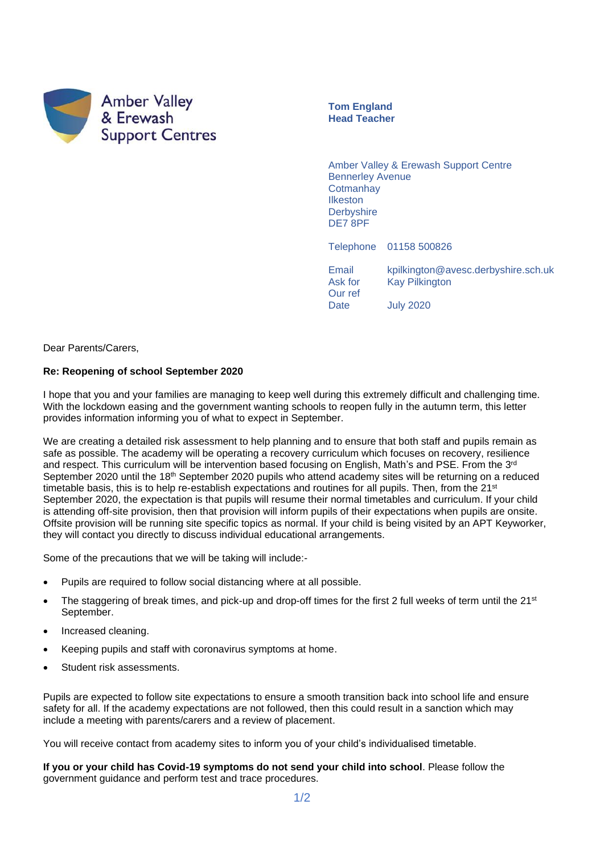

**Tom England Head Teacher**

Amber Valley & Erewash Support Centre Bennerley Avenue **Cotmanhay** Ilkeston **Derbyshire** DE7 8PF

Telephone 01158 500826

Email kpilkington@avesc.derbyshire.sch.uk Ask for Kay Pilkington Our ref Date July 2020

Dear Parents/Carers,

## **Re: Reopening of school September 2020**

I hope that you and your families are managing to keep well during this extremely difficult and challenging time. With the lockdown easing and the government wanting schools to reopen fully in the autumn term, this letter provides information informing you of what to expect in September.

We are creating a detailed risk assessment to help planning and to ensure that both staff and pupils remain as safe as possible. The academy will be operating a recovery curriculum which focuses on recovery, resilience and respect. This curriculum will be intervention based focusing on English, Math's and PSE. From the 3<sup>rd</sup> September 2020 until the 18<sup>th</sup> September 2020 pupils who attend academy sites will be returning on a reduced timetable basis, this is to help re-establish expectations and routines for all pupils. Then, from the 21<sup>st</sup> September 2020, the expectation is that pupils will resume their normal timetables and curriculum. If your child is attending off-site provision, then that provision will inform pupils of their expectations when pupils are onsite. Offsite provision will be running site specific topics as normal. If your child is being visited by an APT Keyworker, they will contact you directly to discuss individual educational arrangements.

Some of the precautions that we will be taking will include:-

- Pupils are required to follow social distancing where at all possible.
- The staggering of break times, and pick-up and drop-off times for the first 2 full weeks of term until the 21<sup>st</sup> September.
- Increased cleaning.
- Keeping pupils and staff with coronavirus symptoms at home.
- Student risk assessments.

Pupils are expected to follow site expectations to ensure a smooth transition back into school life and ensure safety for all. If the academy expectations are not followed, then this could result in a sanction which may include a meeting with parents/carers and a review of placement.

You will receive contact from academy sites to inform you of your child's individualised timetable.

**If you or your child has Covid-19 symptoms do not send your child into school**. Please follow the government guidance and perform test and trace procedures.